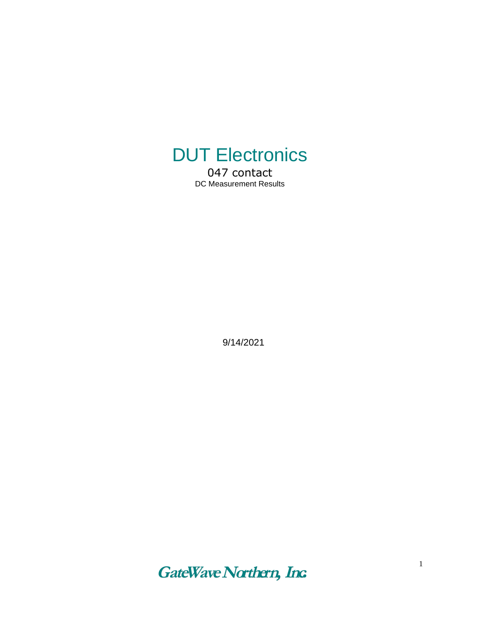

047 contact DC Measurement Results

9/14/2021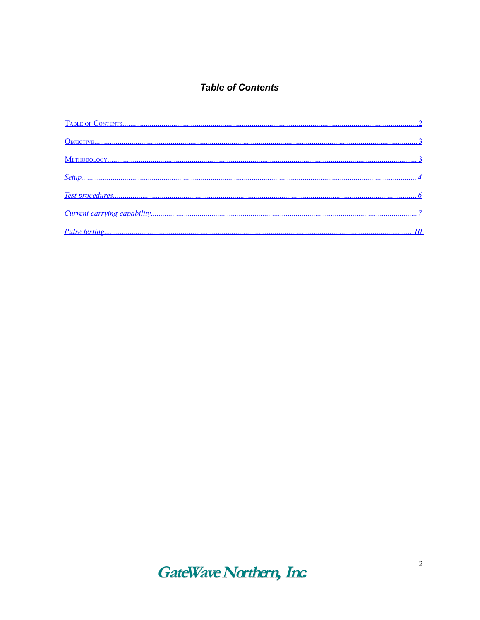### <span id="page-1-0"></span>**Table of Contents**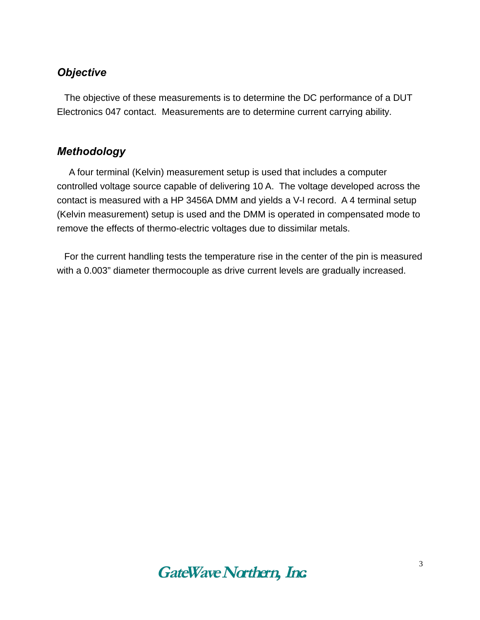## <span id="page-2-1"></span>*Objective*

The objective of these measurements is to determine the DC performance of a DUT Electronics 047 contact. Measurements are to determine current carrying ability.

## <span id="page-2-0"></span>*Methodology*

 A four terminal (Kelvin) measurement setup is used that includes a computer controlled voltage source capable of delivering 10 A. The voltage developed across the contact is measured with a HP 3456A DMM and yields a V-I record. A 4 terminal setup (Kelvin measurement) setup is used and the DMM is operated in compensated mode to remove the effects of thermo-electric voltages due to dissimilar metals.

For the current handling tests the temperature rise in the center of the pin is measured with a 0.003" diameter thermocouple as drive current levels are gradually increased.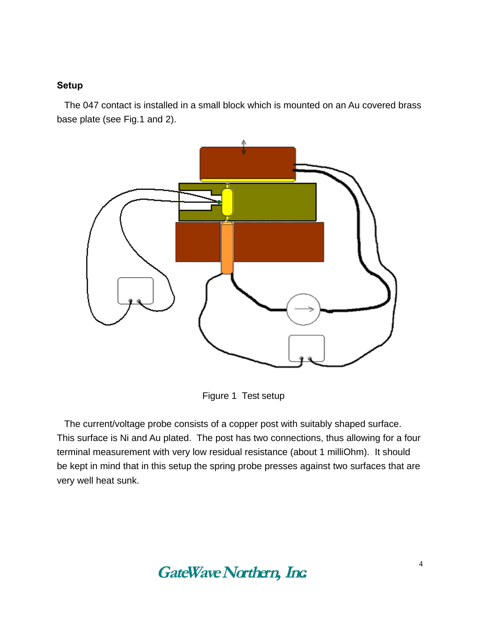#### <span id="page-3-0"></span>**Setup**

The 047 contact is installed in a small block which is mounted on an Au covered brass base plate (see Fig.1 and 2).



Figure 1 Test setup

The current/voltage probe consists of a copper post with suitably shaped surface. This surface is Ni and Au plated. The post has two connections, thus allowing for a four terminal measurement with very low residual resistance (about 1 milliOhm). It should be kept in mind that in this setup the spring probe presses against two surfaces that are very well heat sunk.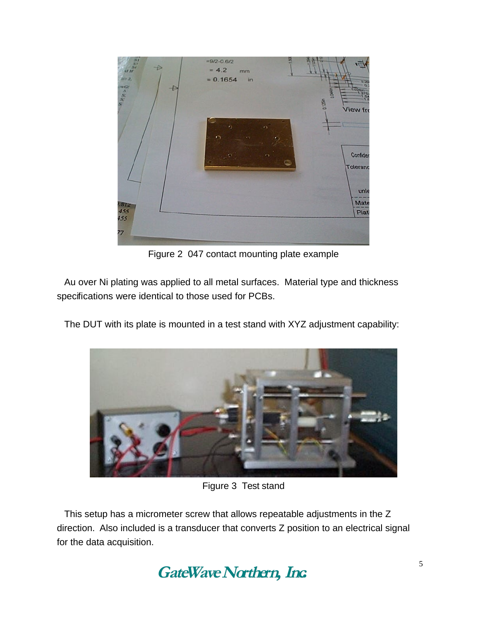

Figure 2 047 contact mounting plate example

Au over Ni plating was applied to all metal surfaces. Material type and thickness specifications were identical to those used for PCBs.

The DUT with its plate is mounted in a test stand with XYZ adjustment capability:



Figure 3 Test stand

This setup has a micrometer screw that allows repeatable adjustments in the Z direction. Also included is a transducer that converts Z position to an electrical signal for the data acquisition.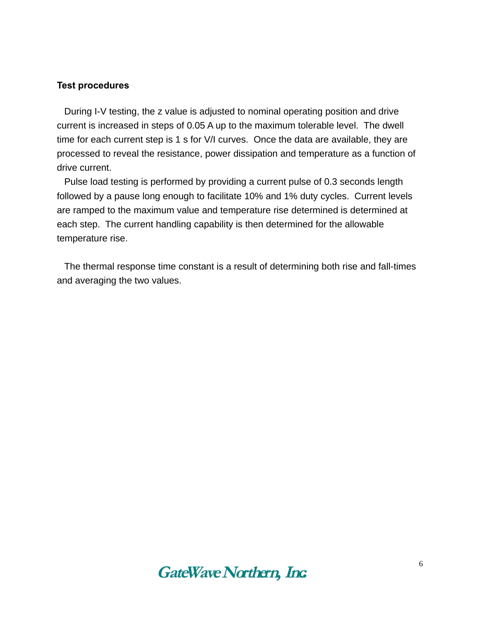#### <span id="page-5-0"></span>**Test procedures**

During I-V testing, the z value is adjusted to nominal operating position and drive current is increased in steps of 0.05 A up to the maximum tolerable level. The dwell time for each current step is 1 s for V/I curves. Once the data are available, they are processed to reveal the resistance, power dissipation and temperature as a function of drive current.

Pulse load testing is performed by providing a current pulse of 0.3 seconds length followed by a pause long enough to facilitate 10% and 1% duty cycles. Current levels are ramped to the maximum value and temperature rise determined is determined at each step. The current handling capability is then determined for the allowable temperature rise.

The thermal response time constant is a result of determining both rise and fall-times and averaging the two values.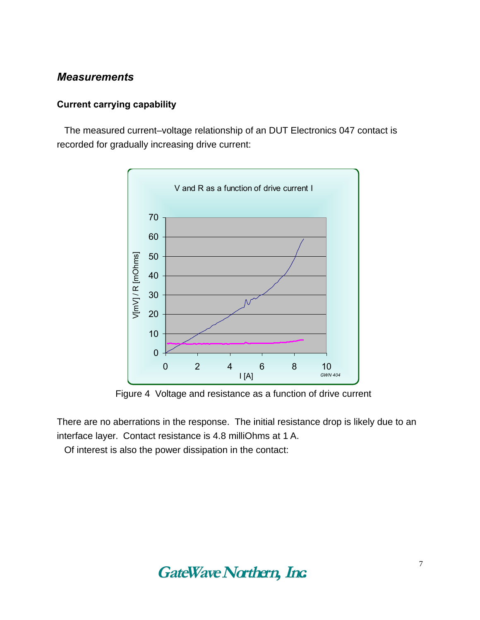### *Measurements*

#### <span id="page-6-0"></span>**Current carrying capability**

The measured current–voltage relationship of an DUT Electronics 047 contact is recorded for gradually increasing drive current:



Figure 4 Voltage and resistance as a function of drive current

There are no aberrations in the response. The initial resistance drop is likely due to an interface layer. Contact resistance is 4.8 milliOhms at 1 A.

Of interest is also the power dissipation in the contact: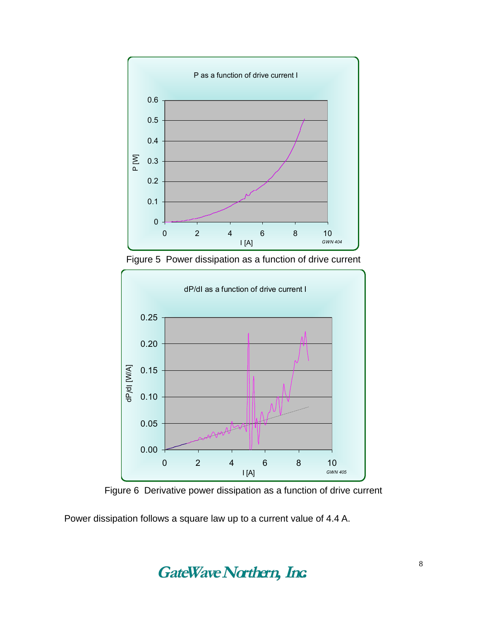

Figure 5 Power dissipation as a function of drive current



Figure 6 Derivative power dissipation as a function of drive current

Power dissipation follows a square law up to a current value of 4.4 A.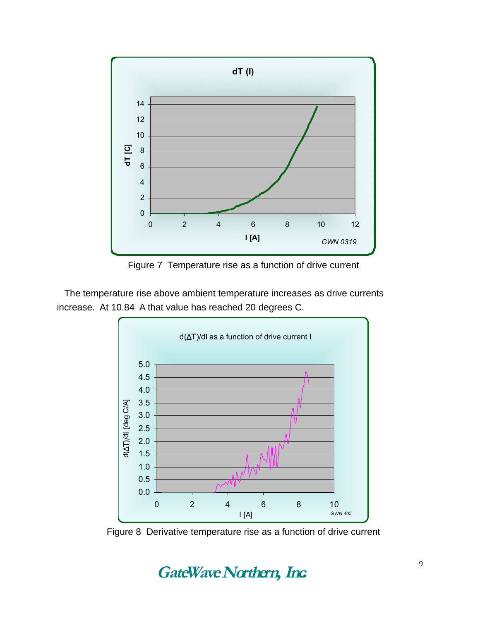

Figure 7 Temperature rise as a function of drive current

The temperature rise above ambient temperature increases as drive currents increase. At 10.84 A that value has reached 20 degrees C.



Figure 8 Derivative temperature rise as a function of drive current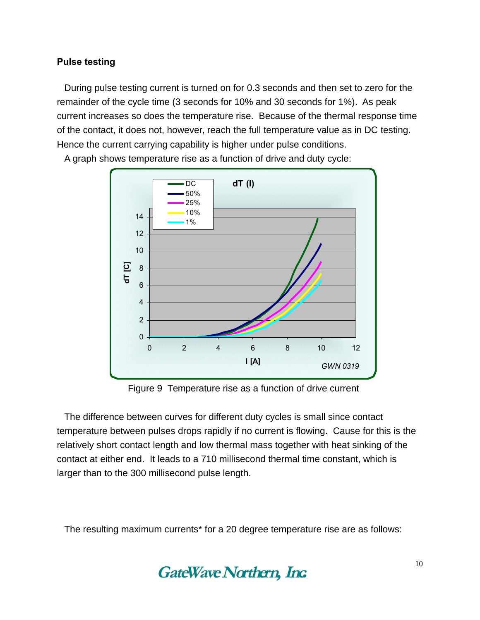#### <span id="page-9-0"></span>**Pulse testing**

During pulse testing current is turned on for 0.3 seconds and then set to zero for the remainder of the cycle time (3 seconds for 10% and 30 seconds for 1%). As peak current increases so does the temperature rise. Because of the thermal response time of the contact, it does not, however, reach the full temperature value as in DC testing. Hence the current carrying capability is higher under pulse conditions.



A graph shows temperature rise as a function of drive and duty cycle:

Figure 9 Temperature rise as a function of drive current

The difference between curves for different duty cycles is small since contact temperature between pulses drops rapidly if no current is flowing. Cause for this is the relatively short contact length and low thermal mass together with heat sinking of the contact at either end. It leads to a 710 millisecond thermal time constant, which is larger than to the 300 millisecond pulse length.

The resulting maximum currents\* for a 20 degree temperature rise are as follows: